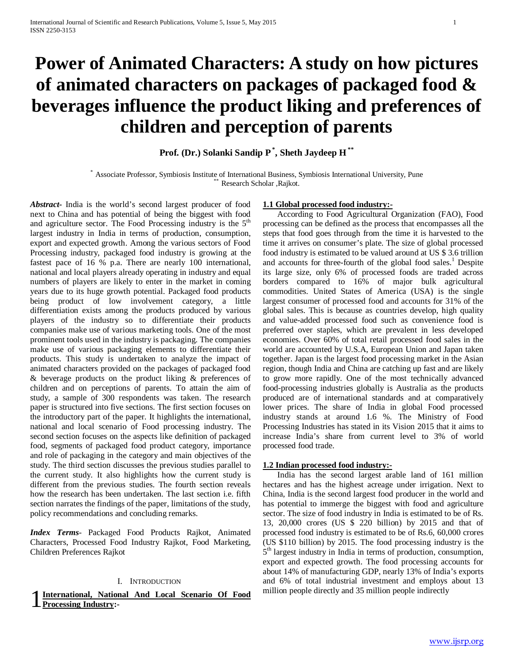# **Power of Animated Characters: A study on how pictures of animated characters on packages of packaged food & beverages influence the product liking and preferences of children and perception of parents**

**Prof. (Dr.) Solanki Sandip P\* , Sheth Jaydeep H \*\***

\* Associate Professor, Symbiosis Institute of International Business, Symbiosis International University, Pune \*\* Research Scholar ,Rajkot.

*Abstract***-** India is the world's second largest producer of food next to China and has potential of being the biggest with food and agriculture sector. The Food Processing industry is the  $5<sup>th</sup>$ largest industry in India in terms of production, consumption, export and expected growth. Among the various sectors of Food Processing industry, packaged food industry is growing at the fastest pace of 16 % p.a. There are nearly 100 international, national and local players already operating in industry and equal numbers of players are likely to enter in the market in coming years due to its huge growth potential. Packaged food products being product of low involvement category, a little differentiation exists among the products produced by various players of the industry so to differentiate their products companies make use of various marketing tools. One of the most prominent tools used in the industry is packaging. The companies make use of various packaging elements to differentiate their products. This study is undertaken to analyze the impact of animated characters provided on the packages of packaged food & beverage products on the product liking & preferences of children and on perceptions of parents. To attain the aim of study, a sample of 300 respondents was taken. The research paper is structured into five sections. The first section focuses on the introductory part of the paper. It highlights the international, national and local scenario of Food processing industry. The second section focuses on the aspects like definition of packaged food, segments of packaged food product category, importance and role of packaging in the category and main objectives of the study. The third section discusses the previous studies parallel to the current study. It also highlights how the current study is different from the previous studies. The fourth section reveals how the research has been undertaken. The last section i.e. fifth section narrates the findings of the paper, limitations of the study, policy recommendations and concluding remarks.

*Index Terms*- Packaged Food Products Rajkot, Animated Characters, Processed Food Industry Rajkot, Food Marketing, Children Preferences Rajkot

### I. INTRODUCTION

**International, National And Local Scenario Of Food** million people directly and 35 million people indirectly **Processing Industry: Processing Industry:-**

#### **1.1 Global processed food industry:-**

 According to Food Agricultural Organization (FAO), Food processing can be defined as the process that encompasses all the steps that food goes through from the time it is harvested to the time it arrives on consumer's plate. The size of global processed food industry is estimated to be valued around at US \$ 3.6 trillion and accounts for three-fourth of the global food sales.<sup>1</sup> Despite its large size, only 6% of processed foods are traded across borders compared to 16% of major bulk agricultural commodities. United States of America (USA) is the single largest consumer of processed food and accounts for 31% of the global sales. This is because as countries develop, high quality and value-added processed food such as convenience food is preferred over staples, which are prevalent in less developed economies. Over 60% of total retail processed food sales in the world are accounted by U.S.A, European Union and Japan taken together. Japan is the largest food processing market in the Asian region, though India and China are catching up fast and are likely to grow more rapidly. One of the most technically advanced food-processing industries globally is Australia as the products produced are of international standards and at comparatively lower prices. The share of India in global Food processed industry stands at around 1.6 %. The Ministry of Food Processing Industries has stated in its Vision 2015 that it aims to increase India's share from current level to 3% of world processed food trade.

#### **1.2 Indian processed food industry:-**

 India has the second largest arable land of 161 million hectares and has the highest acreage under irrigation. Next to China, India is the second largest food producer in the world and has potential to immerge the biggest with food and agriculture sector. The size of food industry in India is estimated to be of Rs. 13, 20,000 crores (US \$ 220 billion) by 2015 and that of processed food industry is estimated to be of Rs.6, 60,000 crores (US \$110 billion) by 2015. The food processing industry is the  $5<sup>th</sup>$  largest industry in India in terms of production, consumption, export and expected growth. The food processing accounts for about 14% of manufacturing GDP, nearly 13% of India's exports and 6% of total industrial investment and employs about 13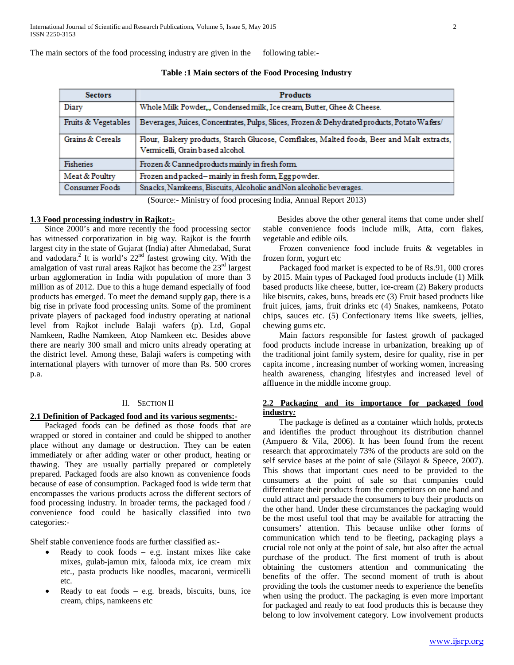The main sectors of the food processing industry are given in the following table:-

| <b>Sectors</b>      | <b>Products</b>                                                                                                              |  |  |  |  |
|---------------------|------------------------------------------------------------------------------------------------------------------------------|--|--|--|--|
| Diary               | Whole Milk Powder, Condensed milk, Ice cream, Butter, Ghee & Cheese.                                                         |  |  |  |  |
| Fruits & Vegetables | Beverages, Juices, Concentrates, Pulps, Slices, Frozen & Dehydrated products, Potato Wafers/                                 |  |  |  |  |
| Grains & Cereals    | Flour, Bakery products, Starch Glucose, Comflakes, Malted foods, Beer and Malt extracts,<br>Vermicelli, Grain based alcohol. |  |  |  |  |
| Fisheries           | Frozen & Cannedproducts mainly in fresh form.                                                                                |  |  |  |  |
| Meat & Poultry      | Frozen and packed-mainly in fresh form, Egg powder.                                                                          |  |  |  |  |
| Consumer Foods      | Snacks, Namkeens, Biscuits, Alcoholic and Non alcoholic beverages.                                                           |  |  |  |  |

**Table :1 Main sectors of the Food Procesing Industry**

(Source:- Ministry of food procesing India, Annual Report 2013)

#### **1.3 Food processing industry in Rajkot:-**

 Since 2000's and more recently the food processing sector has witnessed corporatization in big way. Rajkot is the fourth largest city in the state of Gujarat (India) after Ahmedabad, Surat and vadodara.2 It is world's 22nd fastest growing city. With the amalgation of vast rural areas Rajkot has become the  $23<sup>rd</sup>$  largest urban agglomeration in India with population of more than 3 million as of 2012. Due to this a huge demand especially of food products has emerged. To meet the demand supply gap, there is a big rise in private food processing units. Some of the prominent private players of packaged food industry operating at national level from Rajkot include Balaji wafers (p). Ltd, Gopal Namkeen, Radhe Namkeen, Atop Namkeen etc. Besides above there are nearly 300 small and micro units already operating at the district level. Among these, Balaji wafers is competing with international players with turnover of more than Rs. 500 crores p.a.

### II. SECTION II

#### **2.1 Definition of Packaged food and its various segments:-**

 Packaged foods can be defined as those foods that are wrapped or stored in container and could be shipped to another place without any damage or destruction. They can be eaten immediately or after adding water or other product, heating or thawing. They are usually partially prepared or completely prepared. Packaged foods are also known as convenience foods because of ease of consumption. Packaged food is wide term that encompasses the various products across the different sectors of food processing industry. In broader terms, the packaged food / convenience food could be basically classified into two categories:-

Shelf stable convenience foods are further classified as:-

- Ready to cook foods  $-$  e.g. instant mixes like cake mixes, gulab-jamun mix, falooda mix, ice cream mix etc., pasta products like noodles, macaroni, vermicelli etc.
- Ready to eat foods  $-$  e.g. breads, biscuits, buns, ice cream, chips, namkeens etc

 Besides above the other general items that come under shelf stable convenience foods include milk, Atta, corn flakes, vegetable and edible oils.

 Frozen convenience food include fruits & vegetables in frozen form, yogurt etc

 Packaged food market is expected to be of Rs.91, 000 crores by 2015. Main types of Packaged food products include (1) Milk based products like cheese, butter, ice-cream (2) Bakery products like biscuits, cakes, buns, breads etc (3) Fruit based products like fruit juices, jams, fruit drinks etc (4) Snakes, namkeens, Potato chips, sauces etc. (5) Confectionary items like sweets, jellies, chewing gums etc.

 Main factors responsible for fastest growth of packaged food products include increase in urbanization, breaking up of the traditional joint family system, desire for quality, rise in per capita income , increasing number of working women, increasing health awareness, changing lifestyles and increased level of affluence in the middle income group.

#### **2.2 Packaging and its importance for packaged food industry***:*

 The package is defined as a container which holds, protects and identifies the product throughout its distribution channel (Ampuero & Vila, 2006). It has been found from the recent research that approximately 73% of the products are sold on the self service bases at the point of sale (Silayoi & Speece, 2007). This shows that important cues need to be provided to the consumers at the point of sale so that companies could differentiate their products from the competitors on one hand and could attract and persuade the consumers to buy their products on the other hand. Under these circumstances the packaging would be the most useful tool that may be available for attracting the consumers' attention. This because unlike other forms of communication which tend to be fleeting, packaging plays a crucial role not only at the point of sale, but also after the actual purchase of the product. The first moment of truth is about obtaining the customers attention and communicating the benefits of the offer. The second moment of truth is about providing the tools the customer needs to experience the benefits when using the product. The packaging is even more important for packaged and ready to eat food products this is because they belong to low involvement category. Low involvement products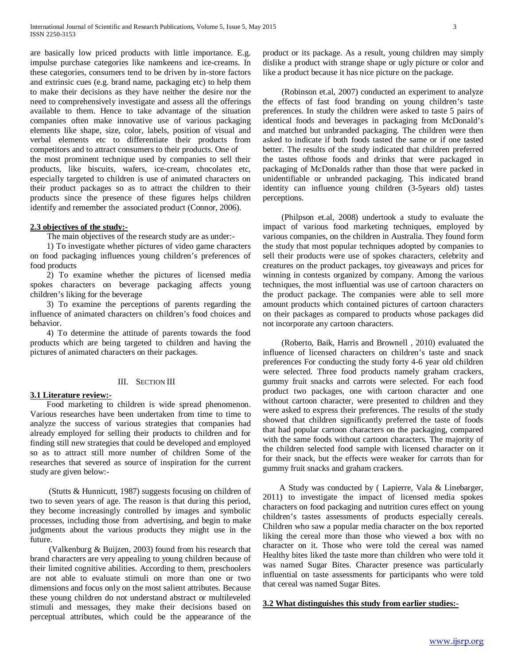are basically low priced products with little importance. E.g. impulse purchase categories like namkeens and ice-creams. In these categories, consumers tend to be driven by in-store factors and extrinsic cues (e.g. brand name, packaging etc) to help them to make their decisions as they have neither the desire nor the need to comprehensively investigate and assess all the offerings available to them. Hence to take advantage of the situation companies often make innovative use of various packaging elements like shape, size, color, labels, position of visual and verbal elements etc to differentiate their products from competitors and to attract consumers to their products. One of the most prominent technique used by companies to sell their products, like biscuits, wafers, ice-cream, chocolates etc, especially targeted to children is use of animated characters on their product packages so as to attract the children to their products since the presence of these figures helps children identify and remember the associated product (Connor, 2006).

#### **2.3 objectives of the study:-**

The main objectives of the research study are as under:-

 1) To investigate whether pictures of video game characters on food packaging influences young children's preferences of food products

 2) To examine whether the pictures of licensed media spokes characters on beverage packaging affects young children's liking for the beverage

 3) To examine the perceptions of parents regarding the influence of animated characters on children's food choices and behavior.

 4) To determine the attitude of parents towards the food products which are being targeted to children and having the pictures of animated characters on their packages.

#### III. SECTION III

#### **3.1 Literature review:-**

 Food marketing to children is wide spread phenomenon. Various researches have been undertaken from time to time to analyze the success of various strategies that companies had already employed for selling their products to children and for finding still new strategies that could be developed and employed so as to attract still more number of children Some of the researches that severed as source of inspiration for the current study are given below:-

 (Stutts & Hunnicutt, 1987) suggests focusing on children of two to seven years of age. The reason is that during this period, they become increasingly controlled by images and symbolic processes, including those from advertising, and begin to make judgments about the various products they might use in the future.

 (Valkenburg & Buijzen, 2003) found from his research that brand characters are very appealing to young children because of their limited cognitive abilities. According to them, preschoolers are not able to evaluate stimuli on more than one or two dimensions and focus only on the most salient attributes. Because these young children do not understand abstract or multileveled stimuli and messages, they make their decisions based on perceptual attributes, which could be the appearance of the product or its package. As a result, young children may simply dislike a product with strange shape or ugly picture or color and like a product because it has nice picture on the package.

 (Robinson et.al, 2007) conducted an experiment to analyze the effects of fast food branding on young children's taste preferences. In study the children were asked to taste 5 pairs of identical foods and beverages in packaging from McDonald's and matched but unbranded packaging. The children were then asked to indicate if both foods tasted the same or if one tasted better. The results of the study indicated that children preferred the tastes ofthose foods and drinks that were packaged in packaging of McDonalds rather than those that were packed in unidentifiable or unbranded packaging. This indicated brand identity can influence young children (3-5years old) tastes perceptions.

 (Philpson et.al, 2008) undertook a study to evaluate the impact of various food marketing techniques, employed by various companies, on the children in Australia. They found form the study that most popular techniques adopted by companies to sell their products were use of spokes characters, celebrity and creatures on the product packages, toy giveaways and prices for winning in contests organized by company. Among the various techniques, the most influential was use of cartoon characters on the product package. The companies were able to sell more amount products which contained pictures of cartoon characters on their packages as compared to products whose packages did not incorporate any cartoon characters.

 (Roberto, Baik, Harris and Brownell , 2010) evaluated the influence of licensed characters on children's taste and snack preferences For conducting the study forty 4-6 year old children were selected. Three food products namely graham crackers, gummy fruit snacks and carrots were selected. For each food product two packages, one with cartoon character and one without cartoon character, were presented to children and they were asked to express their preferences. The results of the study showed that children significantly preferred the taste of foods that had popular cartoon characters on the packaging, compared with the same foods without cartoon characters. The majority of the children selected food sample with licensed character on it for their snack, but the effects were weaker for carrots than for gummy fruit snacks and graham crackers.

 A Study was conducted by ( Lapierre, Vala & Linebarger, 2011) to investigate the impact of licensed media spokes characters on food packaging and nutrition cures effect on young children's tastes assessments of products especially cereals. Children who saw a popular media character on the box reported liking the cereal more than those who viewed a box with no character on it. Those who were told the cereal was named Healthy bites liked the taste more than children who were told it was named Sugar Bites. Character presence was particularly influential on taste assessments for participants who were told that cereal was named Sugar Bites.

**3.2 What distinguishes this study from earlier studies:-**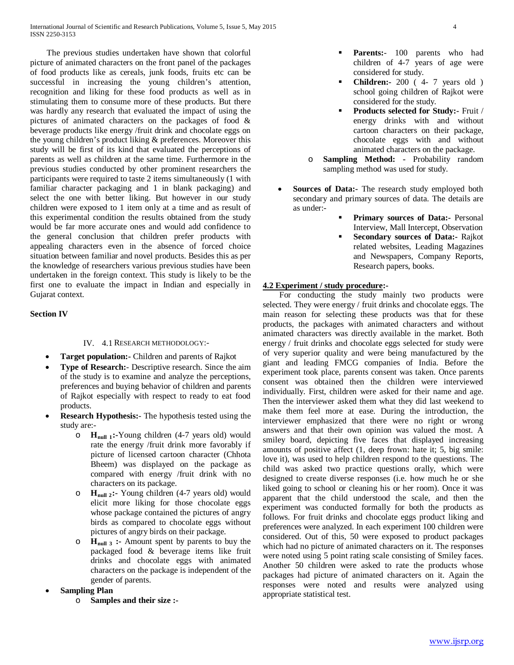The previous studies undertaken have shown that colorful picture of animated characters on the front panel of the packages of food products like as cereals, junk foods, fruits etc can be successful in increasing the young children's attention, recognition and liking for these food products as well as in stimulating them to consume more of these products. But there was hardly any research that evaluated the impact of using the pictures of animated characters on the packages of food & beverage products like energy /fruit drink and chocolate eggs on the young children's product liking & preferences. Moreover this study will be first of its kind that evaluated the perceptions of parents as well as children at the same time. Furthermore in the previous studies conducted by other prominent researchers the participants were required to taste 2 items simultaneously (1 with familiar character packaging and 1 in blank packaging) and select the one with better liking. But however in our study children were exposed to 1 item only at a time and as result of this experimental condition the results obtained from the study would be far more accurate ones and would add confidence to the general conclusion that children prefer products with appealing characters even in the absence of forced choice situation between familiar and novel products. Besides this as per the knowledge of researchers various previous studies have been undertaken in the foreign context. This study is likely to be the first one to evaluate the impact in Indian and especially in Gujarat context.

# **Section IV**

# IV. 4.1 RESEARCH METHODOLOGY:-

- **Target population:-** Children and parents of Rajkot
- **Type of Research:** Descriptive research. Since the aim of the study is to examine and analyze the perceptions, preferences and buying behavior of children and parents of Rajkot especially with respect to ready to eat food products.
- **Research Hypothesis:** The hypothesis tested using the study are:
	- o **Hnull 1:-**Young children (4-7 years old) would rate the energy /fruit drink more favorably if picture of licensed cartoon character (Chhota Bheem) was displayed on the package as compared with energy /fruit drink with no characters on its package.
	- H<sub>null 2</sub>:- Young children (4-7 years old) would elicit more liking for those chocolate eggs whose package contained the pictures of angry birds as compared to chocolate eggs without pictures of angry birds on their package.
	- o **Hnull 3 :-** Amount spent by parents to buy the packaged food & beverage items like fruit drinks and chocolate eggs with animated characters on the package is independent of the gender of parents.
- **Sampling Plan** 
	- o **Samples and their size :-**
- **Parents:** 100 parents who had children of 4-7 years of age were considered for study.
- **Children:-** 200 ( 4- 7 years old ) school going children of Rajkot were considered for the study.
- **Products selected for Study:-** Fruit / energy drinks with and without cartoon characters on their package, chocolate eggs with and without animated characters on the package.
- o **Sampling Method: -** Probability random sampling method was used for study.
- Sources of Data:- The research study employed both secondary and primary sources of data. The details are as under:-
	- **Primary sources of Data:-** Personal Interview, Mall Intercept, Observation
	- **Secondary sources of Data:-** Rajkot related websites, Leading Magazines and Newspapers, Company Reports, Research papers, books.

#### **4.2 Experiment / study procedure:-**

 For conducting the study mainly two products were selected. They were energy / fruit drinks and chocolate eggs. The main reason for selecting these products was that for these products, the packages with animated characters and without animated characters was directly available in the market. Both energy / fruit drinks and chocolate eggs selected for study were of very superior quality and were being manufactured by the giant and leading FMCG companies of India. Before the experiment took place, parents consent was taken. Once parents consent was obtained then the children were interviewed individually. First, children were asked for their name and age. Then the interviewer asked them what they did last weekend to make them feel more at ease. During the introduction, the interviewer emphasized that there were no right or wrong answers and that their own opinion was valued the most. A smiley board, depicting five faces that displayed increasing amounts of positive affect (1, deep frown: hate it; 5, big smile: love it), was used to help children respond to the questions. The child was asked two practice questions orally, which were designed to create diverse responses (i.e. how much he or she liked going to school or cleaning his or her room). Once it was apparent that the child understood the scale, and then the experiment was conducted formally for both the products as follows. For fruit drinks and chocolate eggs product liking and preferences were analyzed. In each experiment 100 children were considered. Out of this, 50 were exposed to product packages which had no picture of animated characters on it. The responses were noted using 5 point rating scale consisting of Smiley faces. Another 50 children were asked to rate the products whose packages had picture of animated characters on it. Again the responses were noted and results were analyzed using appropriate statistical test.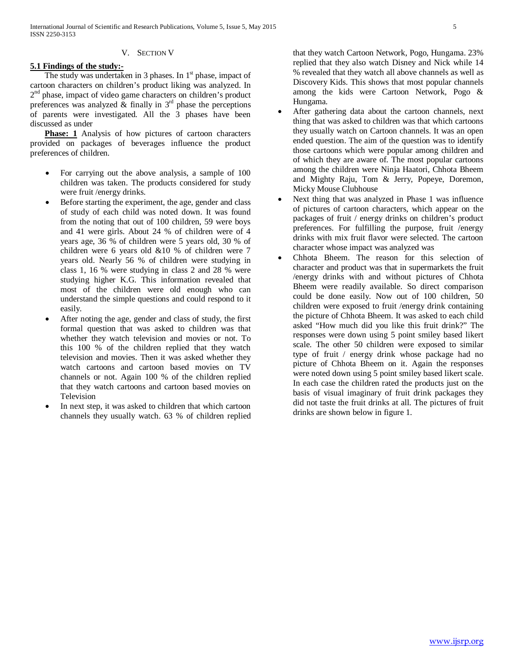#### V. SECTION V

# **5.1 Findings of the study:-**

The study was undertaken in 3 phases. In  $1<sup>st</sup>$  phase, impact of cartoon characters on children's product liking was analyzed. In  $2<sup>nd</sup>$  phase, impact of video game characters on children's product preferences was analyzed  $\&$  finally in  $3<sup>rd</sup>$  phase the perceptions of parents were investigated. All the 3 phases have been discussed as under

Phase: 1 Analysis of how pictures of cartoon characters provided on packages of beverages influence the product preferences of children.

- For carrying out the above analysis, a sample of 100 children was taken. The products considered for study were fruit /energy drinks.
- Before starting the experiment, the age, gender and class of study of each child was noted down. It was found from the noting that out of 100 children, 59 were boys and 41 were girls. About 24 % of children were of 4 years age, 36 % of children were 5 years old, 30 % of children were 6 years old &10 % of children were 7 years old. Nearly 56 % of children were studying in class 1, 16 % were studying in class 2 and 28 % were studying higher K.G. This information revealed that most of the children were old enough who can understand the simple questions and could respond to it easily.
- After noting the age, gender and class of study, the first formal question that was asked to children was that whether they watch television and movies or not. To this 100 % of the children replied that they watch television and movies. Then it was asked whether they watch cartoons and cartoon based movies on TV channels or not. Again 100 % of the children replied that they watch cartoons and cartoon based movies on Television
- In next step, it was asked to children that which cartoon channels they usually watch. 63 % of children replied

that they watch Cartoon Network, Pogo, Hungama. 23% replied that they also watch Disney and Nick while 14 % revealed that they watch all above channels as well as Discovery Kids. This shows that most popular channels among the kids were Cartoon Network, Pogo & Hungama.

- After gathering data about the cartoon channels, next thing that was asked to children was that which cartoons they usually watch on Cartoon channels. It was an open ended question. The aim of the question was to identify those cartoons which were popular among children and of which they are aware of. The most popular cartoons among the children were Ninja Haatori, Chhota Bheem and Mighty Raju, Tom & Jerry, Popeye, Doremon, Micky Mouse Clubhouse
- Next thing that was analyzed in Phase 1 was influence of pictures of cartoon characters, which appear on the packages of fruit / energy drinks on children's product preferences. For fulfilling the purpose, fruit /energy drinks with mix fruit flavor were selected. The cartoon character whose impact was analyzed was
- Chhota Bheem. The reason for this selection of character and product was that in supermarkets the fruit /energy drinks with and without pictures of Chhota Bheem were readily available. So direct comparison could be done easily. Now out of 100 children, 50 children were exposed to fruit /energy drink containing the picture of Chhota Bheem. It was asked to each child asked "How much did you like this fruit drink?" The responses were down using 5 point smiley based likert scale. The other 50 children were exposed to similar type of fruit / energy drink whose package had no picture of Chhota Bheem on it. Again the responses were noted down using 5 point smiley based likert scale. In each case the children rated the products just on the basis of visual imaginary of fruit drink packages they did not taste the fruit drinks at all. The pictures of fruit drinks are shown below in figure 1.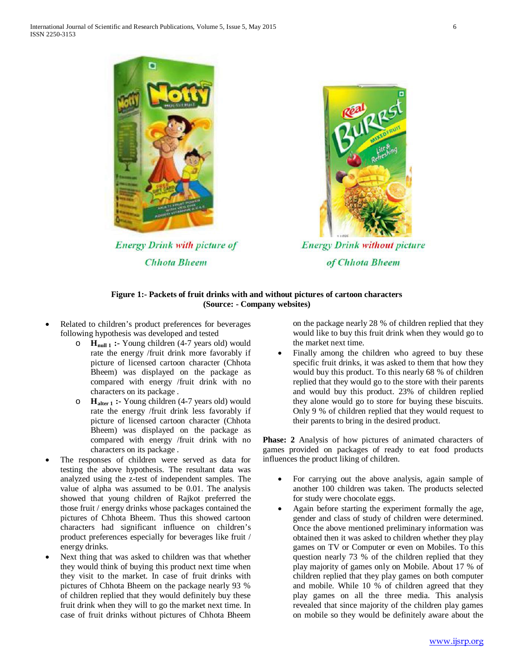

**Energy Drink with picture of Chhota Bheem** 



**Energy Drink without picture** of Chhota Bheem

# **Figure 1:- Packets of fruit drinks with and without pictures of cartoon characters (Source: - Company websites)**

- Related to children's product preferences for beverages following hypothesis was developed and tested
	- o **Hnull 1 :-** Young children (4-7 years old) would rate the energy /fruit drink more favorably if picture of licensed cartoon character (Chhota Bheem) was displayed on the package as compared with energy /fruit drink with no characters on its package .
	- o **Halter 1 :-** Young children (4-7 years old) would rate the energy /fruit drink less favorably if picture of licensed cartoon character (Chhota Bheem) was displayed on the package as compared with energy /fruit drink with no characters on its package .
- The responses of children were served as data for testing the above hypothesis. The resultant data was analyzed using the z-test of independent samples. The value of alpha was assumed to be 0.01. The analysis showed that young children of Rajkot preferred the those fruit / energy drinks whose packages contained the pictures of Chhota Bheem. Thus this showed cartoon characters had significant influence on children's product preferences especially for beverages like fruit / energy drinks.
- Next thing that was asked to children was that whether they would think of buying this product next time when they visit to the market. In case of fruit drinks with pictures of Chhota Bheem on the package nearly 93 % of children replied that they would definitely buy these fruit drink when they will to go the market next time. In case of fruit drinks without pictures of Chhota Bheem

on the package nearly 28 % of children replied that they would like to buy this fruit drink when they would go to the market next time.

Finally among the children who agreed to buy these specific fruit drinks, it was asked to them that how they would buy this product. To this nearly 68 % of children replied that they would go to the store with their parents and would buy this product. 23% of children replied they alone would go to store for buying these biscuits. Only 9 % of children replied that they would request to their parents to bring in the desired product.

**Phase: 2** Analysis of how pictures of animated characters of games provided on packages of ready to eat food products influences the product liking of children.

- For carrying out the above analysis, again sample of another 100 children was taken. The products selected for study were chocolate eggs.
- Again before starting the experiment formally the age, gender and class of study of children were determined. Once the above mentioned preliminary information was obtained then it was asked to children whether they play games on TV or Computer or even on Mobiles. To this question nearly 73 % of the children replied that they play majority of games only on Mobile. About 17 % of children replied that they play games on both computer and mobile. While 10 % of children agreed that they play games on all the three media. This analysis revealed that since majority of the children play games on mobile so they would be definitely aware about the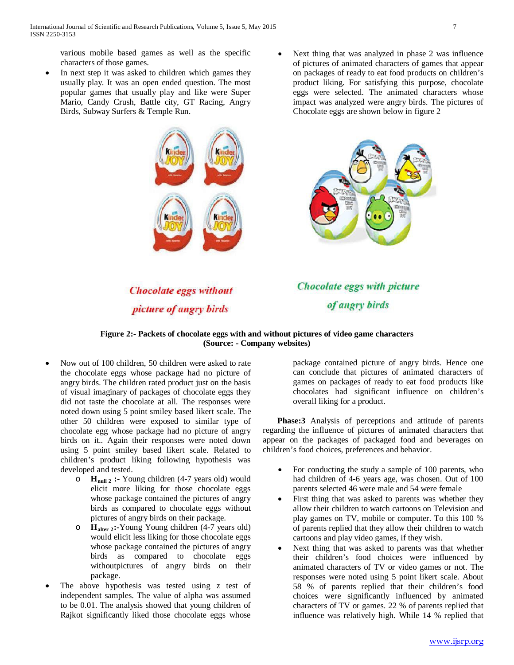various mobile based games as well as the specific characters of those games.

- In next step it was asked to children which games they usually play. It was an open ended question. The most popular games that usually play and like were Super Mario, Candy Crush, Battle city, GT Racing, Angry Birds, Subway Surfers & Temple Run.
- Next thing that was analyzed in phase 2 was influence of pictures of animated characters of games that appear on packages of ready to eat food products on children's product liking. For satisfying this purpose, chocolate eggs were selected. The animated characters whose impact was analyzed were angry birds. The pictures of Chocolate eggs are shown below in figure 2





**Chocolate eggs without** picture of angry birds

**Chocolate eggs with picture** of angry birds

# **Figure 2:- Packets of chocolate eggs with and without pictures of video game characters (Source: - Company websites)**

- Now out of 100 children, 50 children were asked to rate the chocolate eggs whose package had no picture of angry birds. The children rated product just on the basis of visual imaginary of packages of chocolate eggs they did not taste the chocolate at all. The responses were noted down using 5 point smiley based likert scale. The other 50 children were exposed to similar type of chocolate egg whose package had no picture of angry birds on it.. Again their responses were noted down using 5 point smiley based likert scale. Related to children's product liking following hypothesis was developed and tested.
	- o **Hnull 2 :-** Young children (4-7 years old) would elicit more liking for those chocolate eggs whose package contained the pictures of angry birds as compared to chocolate eggs without pictures of angry birds on their package.
	- o **Halter 2:-**Young Young children (4-7 years old) would elicit less liking for those chocolate eggs whose package contained the pictures of angry birds as compared to chocolate eggs withoutpictures of angry birds on their package.
- The above hypothesis was tested using z test of independent samples. The value of alpha was assumed to be 0.01. The analysis showed that young children of Rajkot significantly liked those chocolate eggs whose

package contained picture of angry birds. Hence one can conclude that pictures of animated characters of games on packages of ready to eat food products like chocolates had significant influence on children's overall liking for a product.

 **Phase:3** Analysis of perceptions and attitude of parents regarding the influence of pictures of animated characters that appear on the packages of packaged food and beverages on children's food choices, preferences and behavior.

- For conducting the study a sample of 100 parents, who had children of 4-6 years age, was chosen. Out of 100 parents selected 46 were male and 54 were female
- First thing that was asked to parents was whether they allow their children to watch cartoons on Television and play games on TV, mobile or computer. To this 100 % of parents replied that they allow their children to watch cartoons and play video games, if they wish.
- Next thing that was asked to parents was that whether their children's food choices were influenced by animated characters of TV or video games or not. The responses were noted using 5 point likert scale. About 58 % of parents replied that their children's food choices were significantly influenced by animated characters of TV or games. 22 % of parents replied that influence was relatively high. While 14 % replied that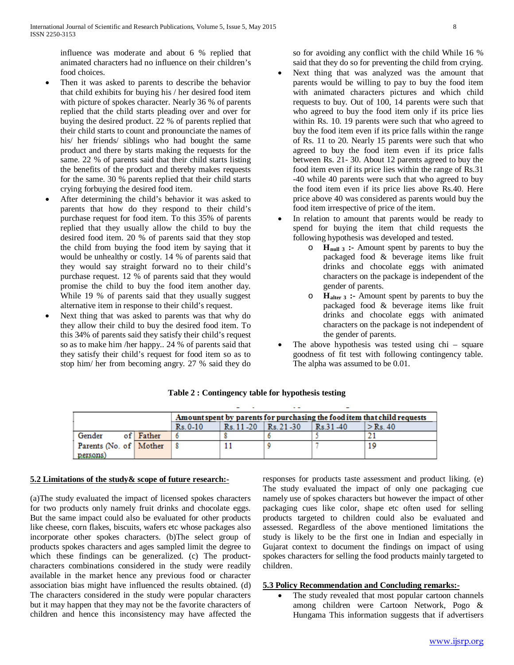influence was moderate and about 6 % replied that animated characters had no influence on their children's food choices.

- Then it was asked to parents to describe the behavior that child exhibits for buying his / her desired food item with picture of spokes character. Nearly 36 % of parents replied that the child starts pleading over and over for buying the desired product. 22 % of parents replied that their child starts to count and pronounciate the names of his/ her friends/ siblings who had bought the same product and there by starts making the requests for the same. 22 % of parents said that their child starts listing the benefits of the product and thereby makes requests for the same. 30 % parents replied that their child starts crying forbuying the desired food item.
- After determining the child's behavior it was asked to parents that how do they respond to their child's purchase request for food item. To this 35% of parents replied that they usually allow the child to buy the desired food item. 20 % of parents said that they stop the child from buying the food item by saying that it would be unhealthy or costly. 14 % of parents said that they would say straight forward no to their child's purchase request. 12 % of parents said that they would promise the child to buy the food item another day. While 19 % of parents said that they usually suggest alternative item in response to their child's request.
- Next thing that was asked to parents was that why do they allow their child to buy the desired food item. To this 34% of parents said they satisfy their child's request so as to make him /her happy.. 24 % of parents said that they satisfy their child's request for food item so as to stop him/ her from becoming angry. 27 % said they do

so for avoiding any conflict with the child While 16 % said that they do so for preventing the child from crying.

- Next thing that was analyzed was the amount that parents would be willing to pay to buy the food item with animated characters pictures and which child requests to buy. Out of 100, 14 parents were such that who agreed to buy the food item only if its price lies within Rs. 10. 19 parents were such that who agreed to buy the food item even if its price falls within the range of Rs. 11 to 20. Nearly 15 parents were such that who agreed to buy the food item even if its price falls between Rs. 21- 30. About 12 parents agreed to buy the food item even if its price lies within the range of Rs.31 -40 while 40 parents were such that who agreed to buy the food item even if its price lies above Rs.40. Here price above 40 was considered as parents would buy the food item irrespective of price of the item.
- In relation to amount that parents would be ready to spend for buying the item that child requests the following hypothesis was developed and tested.
	- o **Hnull 3 :-** Amount spent by parents to buy the packaged food & beverage items like fruit drinks and chocolate eggs with animated characters on the package is independent of the gender of parents.
	- o **Halter 3 :-** Amount spent by parents to buy the packaged food & beverage items like fruit drinks and chocolate eggs with animated characters on the package is not independent of the gender of parents.
- The above hypothesis was tested using  $chi -$  square goodness of fit test with following contingency table. The alpha was assumed to be 0.01.

|                          |           | Amount spent by parents for purchasing the food item that child requests |               |            |          |                                |  |  |
|--------------------------|-----------|--------------------------------------------------------------------------|---------------|------------|----------|--------------------------------|--|--|
|                          |           | $Rs. 0-10$                                                               | $Rs. 11 - 20$ | $Rs.21-30$ | Rs.31-40 | $\mathsf{I} > \mathsf{Rs}\,40$ |  |  |
| Gender                   | of Father |                                                                          |               |            |          |                                |  |  |
| Parents (No. of   Mother |           |                                                                          |               |            |          | 19                             |  |  |
| persons)                 |           |                                                                          |               |            |          |                                |  |  |

# **Table 2 : Contingency table for hypothesis testing**

#### **5.2 Limitations of the study& scope of future research:-**

(a)The study evaluated the impact of licensed spokes characters for two products only namely fruit drinks and chocolate eggs. But the same impact could also be evaluated for other products like cheese, corn flakes, biscuits, wafers etc whose packages also incorporate other spokes characters. (b)The select group of products spokes characters and ages sampled limit the degree to which these findings can be generalized. (c) The productcharacters combinations considered in the study were readily available in the market hence any previous food or character association bias might have influenced the results obtained. (d) The characters considered in the study were popular characters but it may happen that they may not be the favorite characters of children and hence this inconsistency may have affected the responses for products taste assessment and product liking. (e) The study evaluated the impact of only one packaging cue namely use of spokes characters but however the impact of other packaging cues like color, shape etc often used for selling products targeted to children could also be evaluated and assessed. Regardless of the above mentioned limitations the study is likely to be the first one in Indian and especially in Gujarat context to document the findings on impact of using spokes characters for selling the food products mainly targeted to children.

# **5.3 Policy Recommendation and Concluding remarks:-**

The study revealed that most popular cartoon channels among children were Cartoon Network, Pogo & Hungama This information suggests that if advertisers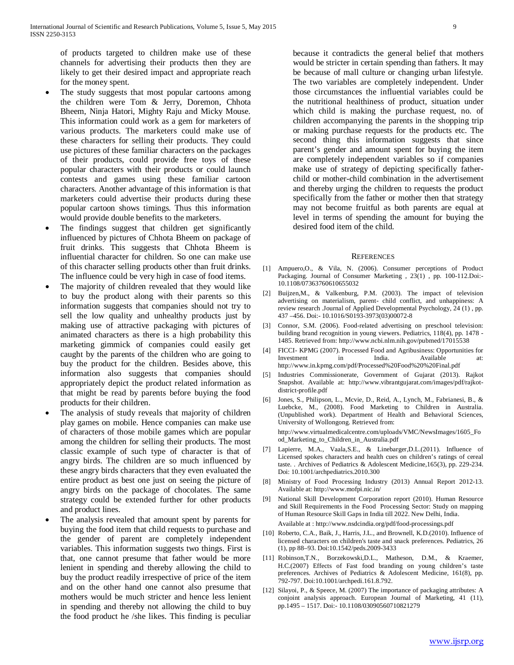of products targeted to children make use of these channels for advertising their products then they are likely to get their desired impact and appropriate reach for the money spent.

- The study suggests that most popular cartoons among the children were Tom & Jerry, Doremon, Chhota Bheem, Ninja Hatori, Mighty Raju and Micky Mouse. This information could work as a gem for marketers of various products. The marketers could make use of these characters for selling their products. They could use pictures of these familiar characters on the packages of their products, could provide free toys of these popular characters with their products or could launch contests and games using these familiar cartoon characters. Another advantage of this information is that marketers could advertise their products during these popular cartoon shows timings. Thus this information would provide double benefits to the marketers.
- The findings suggest that children get significantly influenced by pictures of Chhota Bheem on package of fruit drinks. This suggests that Chhota Bheem is influential character for children. So one can make use of this character selling products other than fruit drinks. The influence could be very high in case of food items.
- The majority of children revealed that they would like to buy the product along with their parents so this information suggests that companies should not try to sell the low quality and unhealthy products just by making use of attractive packaging with pictures of animated characters as there is a high probability this marketing gimmick of companies could easily get caught by the parents of the children who are going to buy the product for the children. Besides above, this information also suggests that companies should appropriately depict the product related information as that might be read by parents before buying the food products for their children.
- The analysis of study reveals that majority of children play games on mobile. Hence companies can make use of characters of those mobile games which are popular among the children for selling their products. The most classic example of such type of character is that of angry birds. The children are so much influenced by these angry birds characters that they even evaluated the entire product as best one just on seeing the picture of angry birds on the package of chocolates. The same strategy could be extended further for other products and product lines.
- The analysis revealed that amount spent by parents for buying the food item that child requests to purchase and the gender of parent are completely independent variables. This information suggests two things. First is that, one cannot presume that father would be more lenient in spending and thereby allowing the child to buy the product readily irrespective of price of the item and on the other hand one cannot also presume that mothers would be much stricter and hence less lenient in spending and thereby not allowing the child to buy the food product he /she likes. This finding is peculiar

because it contradicts the general belief that mothers would be stricter in certain spending than fathers. It may be because of mall culture or changing urban lifestyle. The two variables are completely independent. Under those circumstances the influential variables could be the nutritional healthiness of product, situation under which child is making the purchase request, no. of children accompanying the parents in the shopping trip or making purchase requests for the products etc. The second thing this information suggests that since parent's gender and amount spent for buying the item are completely independent variables so if companies make use of strategy of depicting specifically fatherchild or mother-child combination in the advertisement and thereby urging the children to requests the product specifically from the father or mother then that strategy may not become fruitful as both parents are equal at level in terms of spending the amount for buying the desired food item of the child.

#### **REFERENCES**

- [1] Ampuero,O., & Vila, N. (2006). Consumer perceptions of Product Packaging. Journal of Consumer Marketing , 23(1) , pp. 100-112.Doi:- 10.1108/07363760610655032
- [2] Buijzen,M., & Valkenburg, P.M. (2003). The impact of television advertising on materialism, parent- child conflict, and unhappiness: A review research .Journal of Applied Developmental Psychology, 24 (1) , pp. 437 –456. Doi:- 10.1016/S0193-3973(03)00072-8
- [3] Connor, S.M. (2006). Food-related advertising on preschool television: building brand recognition in young viewers. Pediatrics, 118(4), pp. 1478 - 1485. Retrieved from: http://www.ncbi.nlm.nih.gov/pubmed/17015538
- [4] FICCI- KPMG (2007). Processed Food and Agribusiness: Opportunities for Investment in India. Available at: http://www.in.kpmg.com/pdf/Processed%20Food%20%20Final.pdf
- [5] Industries Commissionerate, Government of Gujarat (2013). Rajkot Snapshot. Available at: http://www.vibrantgujarat.com/images/pdf/rajkotdistrict-profile.pdf
- [6] Jones, S., Philipson, L., Mcvie, D., Reid, A., Lynch, M., Fabrianesi, B., & Luebcke, M., (2008). Food Marketing to Children in Australia. (Unpublished work). Department of Health and Behavioral Sciences, University of Wollongong. Retrieved from:

http://www.virtualmedicalcentre.com/uploads/VMC/NewsImages/1605\_Fo od\_Marketing\_to\_Children\_in\_Australia.pdf

- [7] Lapierre, M.A., Vaala, S.E., & Linebarger, D.L. (2011). Influence of Licensed spokes characters and health cues on children's ratings of cereal taste. . Archives of Pediatrics & Adolescent Medicine,165(3), pp. 229-234. Doi: 10.1001/archpediatrics.2010.300
- [8] Ministry of Food Processing Industry (2013) Annual Report 2012-13. Available at: http://www.mofpi.nic.in/
- [9] National Skill Development Corporation report (2010). Human Resource and Skill Requirements in the Food Processing Sector: Study on mapping of Human Resource Skill Gaps in India till 2022. New Delhi, India. Available at : http://www.nsdcindia.org/pdf/food-processings.pdf
- [10] Roberto, C.A., Baik, J., Harris, J.L., and Brownell, K.D.(2010). Influence of licensed characters on children's taste and snack preferences. Pediatrics, 26 (1), pp 88–93. Doi:10.1542/peds.2009-3433
- [11] Robinson,T.N., Borzekowski,D.L., Matheson, D.M., & Kraemer, H.C.(2007) Effects of Fast food branding on young children's taste preferences. Archives of Pediatrics & Adolescent Medicine, 161(8), pp. 792-797. Doi:10.1001/archpedi.161.8.792.
- [12] Silayoi, P., & Speece, M. (2007) The importance of packaging attributes: A conjoint analysis approach. European Journal of Marketing, 41 (11), pp.1495 – 1517. Doi:- 10.1108/03090560710821279